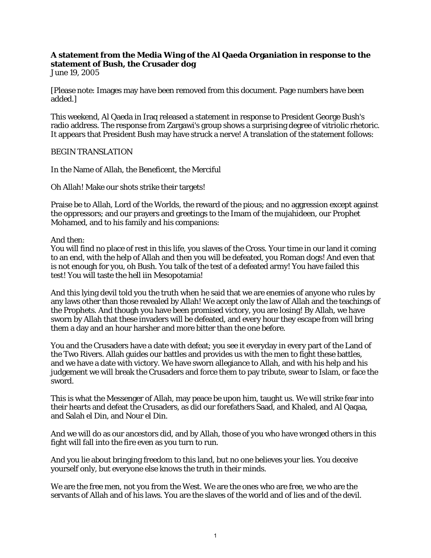## **A statement from the Media Wing of the Al Qaeda Organiation in response to the statement of Bush, the Crusader dog**

June 19, 2005

[Please note: Images may have been removed from this document. Page numbers have been added.]

This weekend, Al Qaeda in Iraq released a statement in response to President George Bush's radio address. The response from Zargawi's group shows a surprising degree of vitriolic rhetoric. It appears that President Bush may have struck a nerve! A translation of the statement follows:

## BEGIN TRANSLATION

In the Name of Allah, the Beneficent, the Merciful

Oh Allah! Make our shots strike their targets!

Praise be to Allah, Lord of the Worlds, the reward of the pious; and no aggression except against the oppressors; and our prayers and greetings to the Imam of the mujahideen, our Prophet Mohamed, and to his family and his companions:

And then:

You will find no place of rest in this life, you slaves of the Cross. Your time in our land it coming to an end, with the help of Allah and then you will be defeated, you Roman dogs! And even that is not enough for you, oh Bush. You talk of the test of a defeated army! You have failed this test! You will taste the hell iin Mesopotamia!

And this lying devil told you the truth when he said that we are enemies of anyone who rules by any laws other than those revealed by Allah! We accept only the law of Allah and the teachings of the Prophets. And though you have been promised victory, you are losing! By Allah, we have sworn by Allah that these invaders will be defeated, and every hour they escape from will bring them a day and an hour harsher and more bitter than the one before.

You and the Crusaders have a date with defeat; you see it everyday in every part of the Land of the Two Rivers. Allah guides our battles and provides us with the men to fight these battles, and we have a date with victory. We have sworn allegiance to Allah, and with his help and his judgement we will break the Crusaders and force them to pay tribute, swear to Islam, or face the sword.

This is what the Messenger of Allah, may peace be upon him, taught us. We will strike fear into their hearts and defeat the Crusaders, as did our forefathers Saad, and Khaled, and Al Qaqaa, and Salah el Din, and Nour el Din.

And we will do as our ancestors did, and by Allah, those of you who have wronged others in this fight will fall into the fire even as you turn to run.

And you lie about bringing freedom to this land, but no one believes your lies. You deceive yourself only, but everyone else knows the truth in their minds.

We are the free men, not you from the West. We are the ones who are free, we who are the servants of Allah and of his laws. You are the slaves of the world and of lies and of the devil.